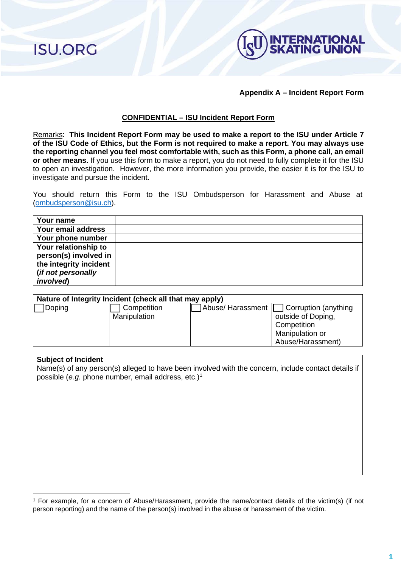**ISU.ORG** 



### **Appendix A – Incident Report Form**

## **CONFIDENTIAL – ISU Incident Report Form**

Remarks: **This Incident Report Form may be used to make a report to the ISU under Article 7 of the ISU Code of Ethics, but the Form is not required to make a report. You may always use the reporting channel you feel most comfortable with, such as this Form, a phone call, an email or other means.** If you use this form to make a report, you do not need to fully complete it for the ISU to open an investigation. However, the more information you provide, the easier it is for the ISU to investigate and pursue the incident.

You should return this Form to the ISU Ombudsperson for Harassment and Abuse at [\(ombudsperson@isu.ch\)](mailto:ombudsperson@isu.ch).

| Your name              |  |
|------------------------|--|
| Your email address     |  |
| Your phone number      |  |
| Your relationship to   |  |
| person(s) involved in  |  |
| the integrity incident |  |
| (if not personally     |  |
| <i>involved</i> )      |  |

| Nature of Integrity Incident (check all that may apply) |              |  |                                          |  |
|---------------------------------------------------------|--------------|--|------------------------------------------|--|
| Doping                                                  | Competition  |  | Abuse/ Harassment   Corruption (anything |  |
|                                                         | Manipulation |  | outside of Doping,                       |  |
|                                                         |              |  | Competition                              |  |
|                                                         |              |  | Manipulation or                          |  |
|                                                         |              |  | Abuse/Harassment)                        |  |

#### **Subject of Incident**

Name(s) of any person(s) alleged to have been involved with the concern, include contact details if possible (*e.g.* phone number, email address, etc.)<sup>[1](#page-0-0)</sup>

<span id="page-0-0"></span><sup>1</sup> For example, for a concern of Abuse/Harassment, provide the name/contact details of the victim(s) (if not person reporting) and the name of the person(s) involved in the abuse or harassment of the victim.